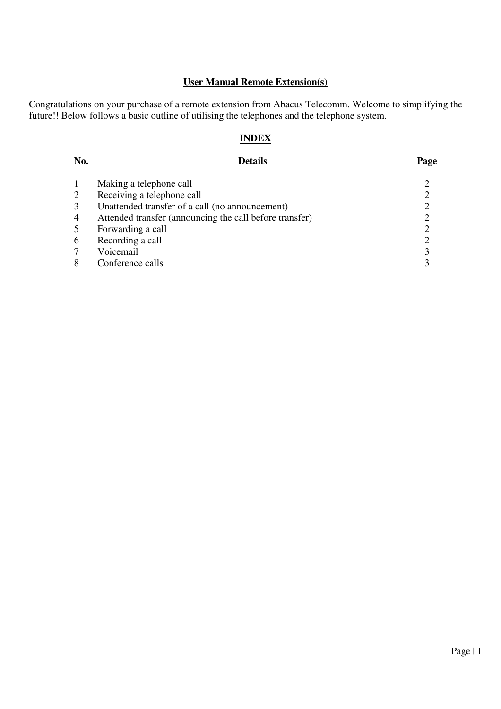### **User Manual Remote Extension(s)**

Congratulations on your purchase of a remote extension from Abacus Telecomm. Welcome to simplifying the future!! Below follows a basic outline of utilising the telephones and the telephone system.

# **INDEX**

| No. | <b>Details</b>                                          | Page |
|-----|---------------------------------------------------------|------|
|     | Making a telephone call                                 |      |
|     | Receiving a telephone call                              |      |
|     | Unattended transfer of a call (no announcement)         |      |
| 4   | Attended transfer (announcing the call before transfer) |      |
|     | Forwarding a call                                       |      |
| 6   | Recording a call                                        |      |
|     | Voicemail                                               | 3    |
|     | Conference calls                                        |      |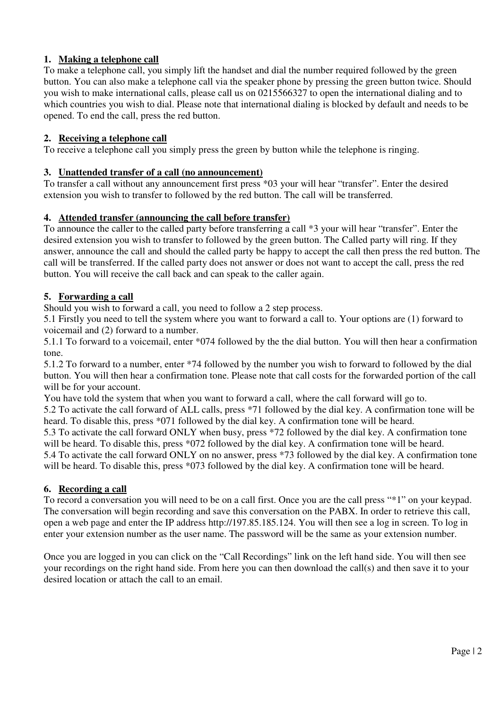# **1. Making a telephone call**

To make a telephone call, you simply lift the handset and dial the number required followed by the green button. You can also make a telephone call via the speaker phone by pressing the green button twice. Should you wish to make international calls, please call us on 0215566327 to open the international dialing and to which countries you wish to dial. Please note that international dialing is blocked by default and needs to be opened. To end the call, press the red button.

### **2. Receiving a telephone call**

To receive a telephone call you simply press the green by button while the telephone is ringing.

#### **3. Unattended transfer of a call (no announcement)**

To transfer a call without any announcement first press \*03 your will hear "transfer". Enter the desired extension you wish to transfer to followed by the red button. The call will be transferred.

### **4. Attended transfer (announcing the call before transfer)**

To announce the caller to the called party before transferring a call \*3 your will hear "transfer". Enter the desired extension you wish to transfer to followed by the green button. The Called party will ring. If they answer, announce the call and should the called party be happy to accept the call then press the red button. The call will be transferred. If the called party does not answer or does not want to accept the call, press the red button. You will receive the call back and can speak to the caller again.

# **5. Forwarding a call**

Should you wish to forward a call, you need to follow a 2 step process.

5.1 Firstly you need to tell the system where you want to forward a call to. Your options are (1) forward to voicemail and (2) forward to a number.

5.1.1 To forward to a voicemail, enter \*074 followed by the the dial button. You will then hear a confirmation tone.

5.1.2 To forward to a number, enter \*74 followed by the number you wish to forward to followed by the dial button. You will then hear a confirmation tone. Please note that call costs for the forwarded portion of the call will be for your account.

You have told the system that when you want to forward a call, where the call forward will go to. 5.2 To activate the call forward of ALL calls, press \*71 followed by the dial key. A confirmation tone will be heard. To disable this, press \*071 followed by the dial key. A confirmation tone will be heard.

5.3 To activate the call forward ONLY when busy, press \*72 followed by the dial key. A confirmation tone will be heard. To disable this, press \*072 followed by the dial key. A confirmation tone will be heard. 5.4 To activate the call forward ONLY on no answer, press \*73 followed by the dial key. A confirmation tone will be heard. To disable this, press \*073 followed by the dial key. A confirmation tone will be heard.

# **6. Recording a call**

To record a conversation you will need to be on a call first. Once you are the call press "\*1" on your keypad. The conversation will begin recording and save this conversation on the PABX. In order to retrieve this call, open a web page and enter the IP address http://197.85.185.124. You will then see a log in screen. To log in enter your extension number as the user name. The password will be the same as your extension number.

Once you are logged in you can click on the "Call Recordings" link on the left hand side. You will then see your recordings on the right hand side. From here you can then download the call(s) and then save it to your desired location or attach the call to an email.